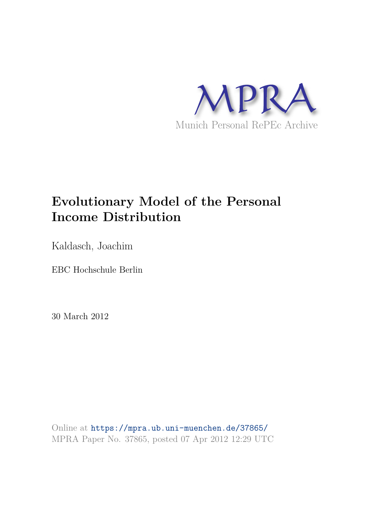

# **Evolutionary Model of the Personal Income Distribution**

Kaldasch, Joachim

EBC Hochschule Berlin

30 March 2012

Online at https://mpra.ub.uni-muenchen.de/37865/ MPRA Paper No. 37865, posted 07 Apr 2012 12:29 UTC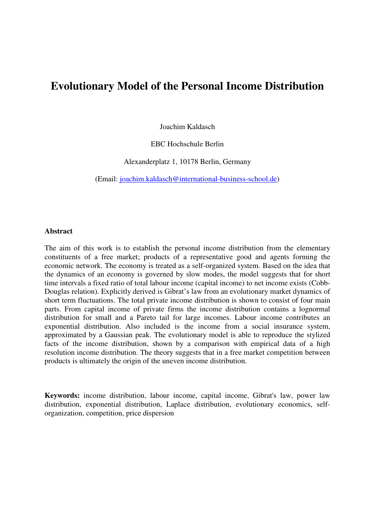# **Evolutionary Model of the Personal Income Distribution**

Joachim Kaldasch

EBC Hochschule Berlin

Alexanderplatz 1, 10178 Berlin, Germany

(Email: [joachim.kaldasch@international-business-school.de\)](mailto:joachim.kaldasch@international-business-school.de)

#### **Abstract**

The aim of this work is to establish the personal income distribution from the elementary constituents of a free market; products of a representative good and agents forming the economic network. The economy is treated as a self-organized system. Based on the idea that the dynamics of an economy is governed by slow modes, the model suggests that for short time intervals a fixed ratio of total labour income (capital income) to net income exists (Cobb-Douglas relation). Explicitly derived is Gibrat's law from an evolutionary market dynamics of short term fluctuations. The total private income distribution is shown to consist of four main parts. From capital income of private firms the income distribution contains a lognormal distribution for small and a Pareto tail for large incomes. Labour income contributes an exponential distribution. Also included is the income from a social insurance system, approximated by a Gaussian peak. The evolutionary model is able to reproduce the stylized facts of the income distribution, shown by a comparison with empirical data of a high resolution income distribution. The theory suggests that in a free market competition between products is ultimately the origin of the uneven income distribution.

**Keywords:** income distribution, labour income, capital income, Gibrat's law, power law distribution, exponential distribution, Laplace distribution, evolutionary economics, selforganization, competition, price dispersion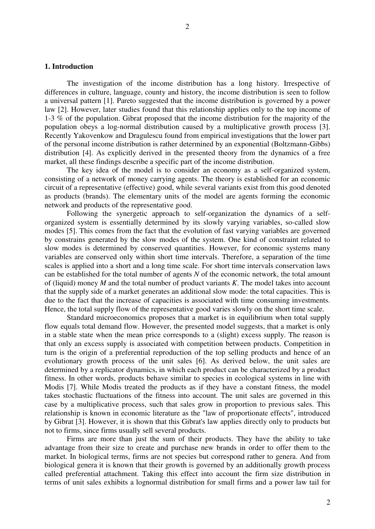The investigation of the income distribution has a long history. Irrespective of differences in culture, language, county and history, the income distribution is seen to follow a universal pattern [1]. Pareto suggested that the income distribution is governed by a power law [2]. However, later studies found that this relationship applies only to the top income of 1-3 % of the population. Gibrat proposed that the income distribution for the majority of the population obeys a log-normal distribution caused by a multiplicative growth process [3]. Recently Yakovenkow and Dragulescu found from empirical investigations that the lower part of the personal income distribution is rather determined by an exponential (Boltzmann-Gibbs) distribution [4]. As explicitly derived in the presented theory from the dynamics of a free market, all these findings describe a specific part of the income distribution.

The key idea of the model is to consider an economy as a self-organized system, consisting of a network of money carrying agents. The theory is established for an economic circuit of a representative (effective) good, while several variants exist from this good denoted as products (brands). The elementary units of the model are agents forming the economic network and products of the representative good.

Following the synergetic approach to self-organization the dynamics of a selforganized system is essentially determined by its slowly varying variables, so-called slow modes [5]. This comes from the fact that the evolution of fast varying variables are governed by constrains generated by the slow modes of the system. One kind of constraint related to slow modes is determined by conserved quantities. However, for economic systems many variables are conserved only within short time intervals. Therefore, a separation of the time scales is applied into a short and a long time scale. For short time intervals conservation laws can be established for the total number of agents *N* of the economic network, the total amount of (liquid) money *M* and the total number of product variants *K*. The model takes into account that the supply side of a market generates an additional slow mode: the total capacities. This is due to the fact that the increase of capacities is associated with time consuming investments. Hence, the total supply flow of the representative good varies slowly on the short time scale.

Standard microeconomics proposes that a market is in equilibrium when total supply flow equals total demand flow. However, the presented model suggests, that a market is only in a stable state when the mean price corresponds to a (slight) excess supply. The reason is that only an excess supply is associated with competition between products. Competition in turn is the origin of a preferential reproduction of the top selling products and hence of an evolutionary growth process of the unit sales [6]. As derived below, the unit sales are determined by a replicator dynamics, in which each product can be characterized by a product fitness. In other words, products behave similar to species in ecological systems in line with Modis [7]. While Modis treated the products as if they have a constant fitness, the model takes stochastic fluctuations of the fitness into account. The unit sales are governed in this case by a multiplicative process, such that sales grow in proportion to previous sales. This relationship is known in economic literature as the "law of proportionate effects", introduced by Gibrat [3]. However, it is shown that this Gibrat's law applies directly only to products but not to firms, since firms usually sell several products.

Firms are more than just the sum of their products. They have the ability to take advantage from their size to create and purchase new brands in order to offer them to the market. In biological terms, firms are not species but correspond rather to genera. And from biological genera it is known that their growth is governed by an additionally growth process called preferential attachment. Taking this effect into account the firm size distribution in terms of unit sales exhibits a lognormal distribution for small firms and a power law tail for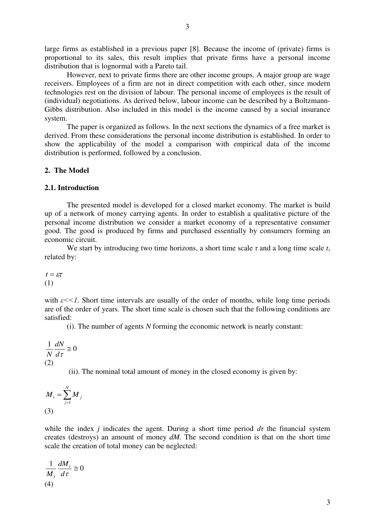large firms as established in a previous paper [8]. Because the income of (private) firms is proportional to its sales, this result implies that private firms have a personal income distribution that is lognormal with a Pareto tail.

However, next to private firms there are other income groups. A major group are wage receivers. Employees of a firm are not in direct competition with each other, since modern technologies rest on the division of labour. The personal income of employees is the result of (individual) negotiations. As derived below, labour income can be described by a Boltzmann-Gibbs distribution. Also included in this model is the income caused by a social insurance system.

 The paper is organized as follows. In the next sections the dynamics of a free market is derived. From these considerations the personal income distribution is established. In order to show the applicability of the model a comparison with empirical data of the income distribution is performed, followed by a conclusion.

# **2. The Model**

#### **2.1. Introduction**

 The presented model is developed for a closed market economy. The market is build up of a network of money carrying agents. In order to establish a qualitative picture of the personal income distribution we consider a market economy of a representative consumer good. The good is produced by firms and purchased essentially by consumers forming an economic circuit.

We start by introducing two time horizons, a short time scale  $\tau$  and a long time scale  $t$ , related by:

$$
t = \varepsilon \tau
$$
  
(1)

with  $\varepsilon \ll 1$ . Short time intervals are usually of the order of months, while long time periods are of the order of years. The short time scale is chosen such that the following conditions are satisfied:

(i). The number of agents *N* forming the economic network is nearly constant:

 $\frac{1}{N} \frac{dN}{d} \approx 0$  $d\tau$ *dN N* (2)

(ii). The nominal total amount of money in the closed economy is given by:

$$
M_t = \sum_{j=1}^{N} M_j
$$
\n(3)

while the index *j* indicates the agent. During a short time period  $d\tau$  the financial system creates (destroys) an amount of money *dM*. The second condition is that on the short time scale the creation of total money can be neglected:

$$
\frac{1}{M_t} \frac{dM_t}{d\tau} \cong 0
$$
\n(4)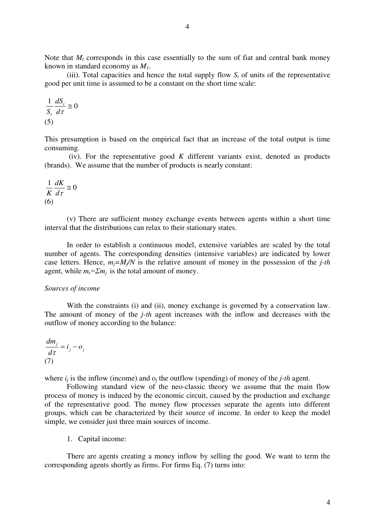Note that  $M_t$  corresponds in this case essentially to the sum of fiat and central bank money known in standard economy as *M1*.

(iii). Total capacities and hence the total supply flow  $S_t$  of units of the representative good per unit time is assumed to be a constant on the short time scale:

$$
\frac{1}{S_t} \frac{dS_t}{d\tau} \cong 0
$$
  
(5)

This presumption is based on the empirical fact that an increase of the total output is time consuming.

 (iv). For the representative good *K* different variants exist, denoted as products (brands). We assume that the number of products is nearly constant:

$$
\frac{1}{K}\frac{dK}{d\tau} \cong 0
$$
  
(6)

(v) There are sufficient money exchange events between agents within a short time interval that the distributions can relax to their stationary states.

In order to establish a continuous model, extensive variables are scaled by the total number of agents. The corresponding densities (intensive variables) are indicated by lower case letters. Hence,  $m_i = M/N$  is the relative amount of money in the possession of the *j-th* agent, while  $m_t = \sum m_i$  is the total amount of money.

#### *Sources of income*

With the constraints (i) and (ii), money exchange is governed by a conservation law. The amount of money of the *j-th* agent increases with the inflow and decreases with the outflow of money according to the balance:

$$
\frac{dm_j}{d\tau} = i_j - o_j
$$
  
(7)

where  $i_j$  is the inflow (income) and  $o_j$  the outflow (spending) of money of the *j-th* agent.

Following standard view of the neo-classic theory we assume that the main flow process of money is induced by the economic circuit, caused by the production and exchange of the representative good. The money flow processes separate the agents into different groups, which can be characterized by their source of income. In order to keep the model simple, we consider just three main sources of income.

1. Capital income:

There are agents creating a money inflow by selling the good. We want to term the corresponding agents shortly as firms. For firms Eq. (7) turns into: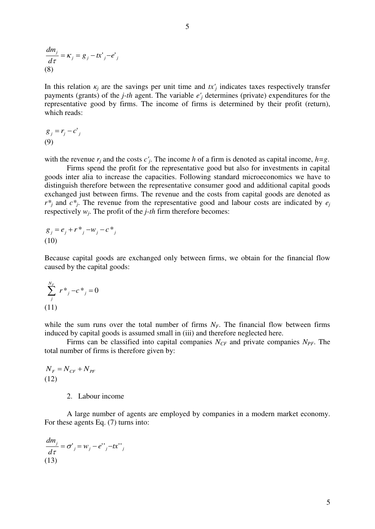$$
\frac{dm_j}{d\tau} = \kappa_j = g_j - tx'_{j} - e'_{j}
$$
\n(8)

In this relation  $\kappa_j$  are the savings per unit time and  $tx'_j$  indicates taxes respectively transfer payments (grants) of the *j-th* agent. The variable *e'<sup>j</sup>* determines (private) expenditures for the representative good by firms. The income of firms is determined by their profit (return), which reads:

$$
g_j = r_j - c'_j
$$
  
(9)

with the revenue  $r_j$  and the costs  $c'_j$ . The income h of a firm is denoted as capital income,  $h = g$ .

Firms spend the profit for the representative good but also for investments in capital goods inter alia to increase the capacities. Following standard microeconomics we have to distinguish therefore between the representative consumer good and additional capital goods exchanged just between firms. The revenue and the costs from capital goods are denoted as  $r^*$ *j* and  $c^*$ *j*. The revenue from the representative good and labour costs are indicated by  $e_j$ respectively *w<sup>j</sup>* . The profit of the *j-th* firm therefore becomes:

$$
g_j = e_j + r^*_{j} - w_j - c^*_{j}
$$
  
(10)

Because capital goods are exchanged only between firms, we obtain for the financial flow caused by the capital goods:

$$
\sum_{j}^{N_F} r^*_{j} - c^*_{j} = 0
$$
  
(11)

while the sum runs over the total number of firms  $N_F$ . The financial flow between firms induced by capital goods is assumed small in (iii) and therefore neglected here.

Firms can be classified into capital companies *NCF* and private companies *NPF*. The total number of firms is therefore given by:

$$
N_F = N_{CF} + N_{PF}
$$
  
(12)

# 2. Labour income

A large number of agents are employed by companies in a modern market economy. For these agents Eq. (7) turns into:

$$
\frac{dm_j}{d\tau} = \sigma'_{j} = w_j - e''_{j} - tx''_{j}
$$
\n(13)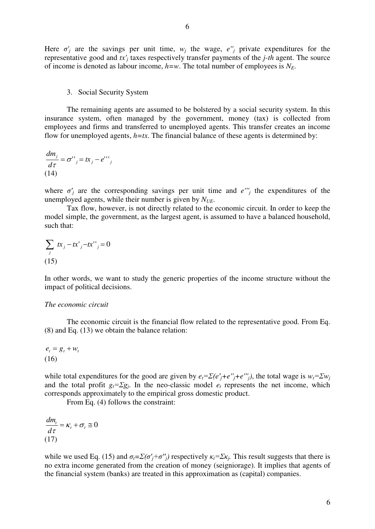Here  $\sigma'$  are the savings per unit time,  $w_j$  the wage,  $e''_j$  private expenditures for the representative good and  $tx'_j$  taxes respectively transfer payments of the *j-th* agent. The source of income is denoted as labour income,  $h=w$ . The total number of employees is  $N_F$ .

# 3. Social Security System

The remaining agents are assumed to be bolstered by a social security system. In this insurance system, often managed by the government, money (tax) is collected from employees and firms and transferred to unemployed agents. This transfer creates an income flow for unemployed agents,  $h=tx$ . The financial balance of these agents is determined by:

$$
\frac{dm_j}{d\tau} = \sigma^{\prime\prime}{}_{j} = tx_j - e^{\prime\prime\prime}{}_{j}
$$
\n(14)

where  $\sigma'$  are the corresponding savings per unit time and  $e''$  the expenditures of the unemployed agents, while their number is given by *NUE*.

Tax flow, however, is not directly related to the economic circuit. In order to keep the model simple, the government, as the largest agent, is assumed to have a balanced household, such that:

$$
\sum_{j} tx_j - tx'_{j} - tx''_{j} = 0
$$
  
(15)

In other words, we want to study the generic properties of the income structure without the impact of political decisions.

## *The economic circuit*

The economic circuit is the financial flow related to the representative good. From Eq. (8) and Eq. (13) we obtain the balance relation:

$$
e_t = g_t + w_t
$$
  
(16)

while total expenditures for the good are given by  $e_t = \sum (e'_j + e''_j + e''_j)$ , the total wage is  $w_t = \sum w_i$ and the total profit  $g_t = \sum g_j$ . In the neo-classic model  $e_t$  represents the net income, which corresponds approximately to the empirical gross domestic product.

From Eq. (4) follows the constraint:

 $\frac{t}{t} = \kappa_t + \sigma_t \cong 0$ *d*  $\frac{dm_{t}}{m_{t}} = \kappa_{t} + \sigma$ τ (17)

while we used Eq. (15) and  $\sigma_t = \sum (\sigma'_j + \sigma''_j)$  respectively  $\kappa_t = \sum \kappa_j$ . This result suggests that there is no extra income generated from the creation of money (seigniorage). It implies that agents of the financial system (banks) are treated in this approximation as (capital) companies.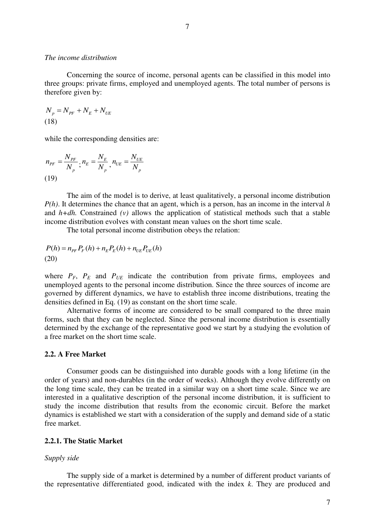#### *The income distribution*

Concerning the source of income, personal agents can be classified in this model into three groups: private firms, employed and unemployed agents. The total number of persons is therefore given by:

 $N_p = N_{PF} + N_E + N_{UE}$ (18)

while the corresponding densities are:

$$
n_{PF} = \frac{N_{PF}}{N_p}, n_E = \frac{N_E}{N_p}, n_{UE} = \frac{N_{UE}}{N_p}
$$
  
(19)

The aim of the model is to derive, at least qualitatively, a personal income distribution *P(h)*. It determines the chance that an agent, which is a person, has an income in the interval *h* and  $h+dh$ . Constrained  $(v)$  allows the application of statistical methods such that a stable income distribution evolves with constant mean values on the short time scale.

The total personal income distribution obeys the relation:

$$
P(h) = n_{PF} P_F(h) + n_E P_E(h) + n_{UE} P_{UE}(h)
$$
  
(20)

where  $P_F$ ,  $P_E$  and  $P_{UE}$  indicate the contribution from private firms, employees and unemployed agents to the personal income distribution. Since the three sources of income are governed by different dynamics, we have to establish three income distributions, treating the densities defined in Eq. (19) as constant on the short time scale.

 Alternative forms of income are considered to be small compared to the three main forms, such that they can be neglected. Since the personal income distribution is essentially determined by the exchange of the representative good we start by a studying the evolution of a free market on the short time scale.

# **2.2. A Free Market**

Consumer goods can be distinguished into durable goods with a long lifetime (in the order of years) and non-durables (in the order of weeks). Although they evolve differently on the long time scale, they can be treated in a similar way on a short time scale. Since we are interested in a qualitative description of the personal income distribution, it is sufficient to study the income distribution that results from the economic circuit. Before the market dynamics is established we start with a consideration of the supply and demand side of a static free market.

#### **2.2.1. The Static Market**

#### *Supply side*

 The supply side of a market is determined by a number of different product variants of the representative differentiated good, indicated with the index *k*. They are produced and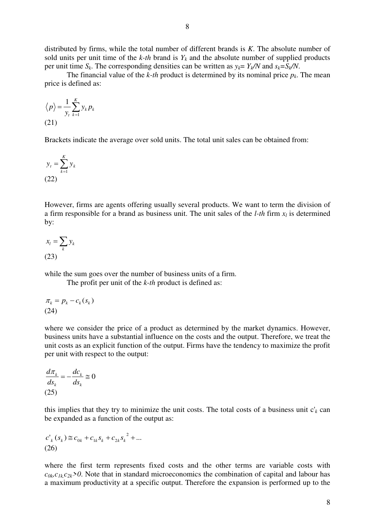distributed by firms, while the total number of different brands is *K*. The absolute number of sold units per unit time of the  $k$ -th brand is  $Y_k$  and the absolute number of supplied products per unit time  $S_k$ . The corresponding densities can be written as  $y_k = Y_k/N$  and  $s_k = S_k/N$ .

The financial value of the *k-th* product is determined by its nominal price  $p_k$ . The mean price is defined as:

$$
\langle p \rangle = \frac{1}{y_t} \sum_{k=1}^{K} y_k p_k
$$
\n(21)

Brackets indicate the average over sold units. The total unit sales can be obtained from:

$$
y_t = \sum_{k=1}^{K} y_k
$$
\n(22)

However, firms are agents offering usually several products. We want to term the division of a firm responsible for a brand as business unit. The unit sales of the *l*-*th* firm  $x_l$  is determined by:

$$
x_l = \sum_k y_k
$$
  
(23)

while the sum goes over the number of business units of a firm.

The profit per unit of the *k-th* product is defined as:

$$
\pi_k = p_k - c_k(s_k)
$$
  
(24)

where we consider the price of a product as determined by the market dynamics. However, business units have a substantial influence on the costs and the output. Therefore, we treat the unit costs as an explicit function of the output. Firms have the tendency to maximize the profit per unit with respect to the output:

$$
\frac{d\pi_k}{ds_k} = -\frac{dc_k}{ds_k} \cong 0
$$
\n(25)

this implies that they try to minimize the unit costs. The total costs of a business unit  $c'_{k}$  can be expanded as a function of the output as:

$$
c'_{k}(s_{k}) \cong c_{0k} + c_{1k}s_{k} + c_{2k}s_{k}^{2} + ...
$$
\n(26)

where the first term represents fixed costs and the other terms are variable costs with  $c_{0k}c_{1k}c_{2k}$  > 0. Note that in standard microeconomics the combination of capital and labour has a maximum productivity at a specific output. Therefore the expansion is performed up to the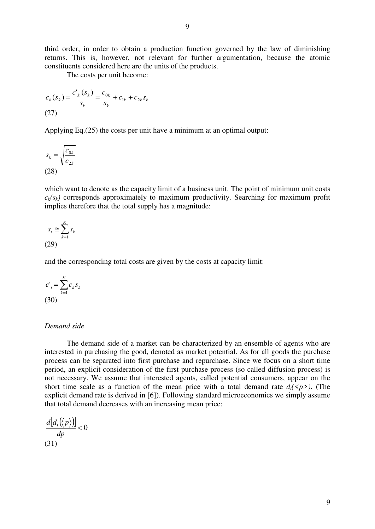third order, in order to obtain a production function governed by the law of diminishing returns. This is, however, not relevant for further argumentation, because the atomic constituents considered here are the units of the products.

The costs per unit become:

$$
c_k(s_k) = \frac{c'_{k}(s_k)}{s_k} = \frac{c_{0k}}{s_k} + c_{1k} + c_{2k}s_k
$$
\n(27)

Applying Eq.(25) the costs per unit have a minimum at an optimal output:

$$
s_k = \sqrt{\frac{c_{0k}}{c_{2k}}}
$$
  
(28)

which want to denote as the capacity limit of a business unit. The point of minimum unit costs  $c_k(s_k)$  corresponds approximately to maximum productivity. Searching for maximum profit implies therefore that the total supply has a magnitude:

$$
s_t \cong \sum_{k=1}^{K} s_k
$$
\n(29)

and the corresponding total costs are given by the costs at capacity limit:

$$
c'_{t} = \sum_{k=1}^{K} c_{k} s_{k}
$$
  
(30)

## *Demand side*

 The demand side of a market can be characterized by an ensemble of agents who are interested in purchasing the good, denoted as market potential. As for all goods the purchase process can be separated into first purchase and repurchase. Since we focus on a short time period, an explicit consideration of the first purchase process (so called diffusion process) is not necessary. We assume that interested agents, called potential consumers, appear on the short time scale as a function of the mean price with a total demand rate  $d_t$ ( $\langle p \rangle$ ). (The explicit demand rate is derived in [6]). Following standard microeconomics we simply assume that total demand decreases with an increasing mean price:

$$
\frac{d\big[d_i(\langle p \rangle)\big]}{dp} < 0
$$
\n(31)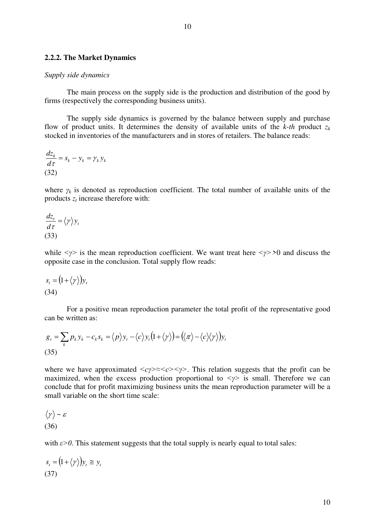#### **2.2.2. The Market Dynamics**

#### *Supply side dynamics*

The main process on the supply side is the production and distribution of the good by firms (respectively the corresponding business units).

The supply side dynamics is governed by the balance between supply and purchase flow of product units. It determines the density of available units of the  $k$ -th product  $z_k$ stocked in inventories of the manufacturers and in stores of retailers. The balance reads:

$$
\frac{dz_k}{d\tau} = s_k - y_k = \gamma_k y_k
$$
\n(32)

where  $\gamma_k$  is denoted as reproduction coefficient. The total number of available units of the products *z<sup>t</sup>* increase therefore with:

$$
\frac{dz_t}{d\tau} = \langle \gamma \rangle y_t
$$
\n(33)

while  $\langle \gamma \rangle$  is the mean reproduction coefficient. We want treat here  $\langle \gamma \rangle$  >0 and discuss the opposite case in the conclusion. Total supply flow reads:

$$
s_t = (1 + \langle \gamma \rangle) y_t
$$
  
(34)

 For a positive mean reproduction parameter the total profit of the representative good can be written as:

$$
g_t = \sum_k p_k y_k - c_k s_k = \langle p \rangle y_t - \langle c \rangle y_t (1 + \langle \gamma \rangle) = (\langle \pi \rangle - \langle c \rangle \langle \gamma \rangle) y_t
$$
\n(35)

where we have approximated  $\langle cy \rangle \approx \langle c \rangle$ . This relation suggests that the profit can be maximized, when the excess production proportional to  $\langle \gamma \rangle$  is small. Therefore we can conclude that for profit maximizing business units the mean reproduction parameter will be a small variable on the short time scale:

$$
\langle \gamma \rangle \sim \varepsilon
$$
\n
$$
(36)
$$

with  $\varepsilon > 0$ . This statement suggests that the total supply is nearly equal to total sales:

$$
s_t = (1 + \langle \gamma \rangle) y_t \cong y_t
$$
\n(37)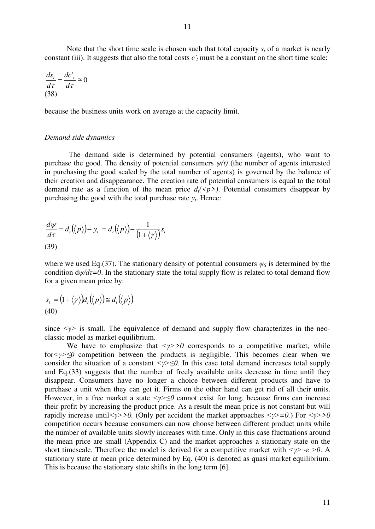Note that the short time scale is chosen such that total capacity  $s_t$  of a market is nearly constant (iii). It suggests that also the total costs  $c<sub>t</sub>$  must be a constant on the short time scale:

$$
\frac{ds_t}{d\tau} = \frac{dc'_t}{d\tau} \cong 0
$$
\n(38)

because the business units work on average at the capacity limit.

#### *Demand side dynamics*

 The demand side is determined by potential consumers (agents), who want to purchase the good. The density of potential consumers *ψ(t)* (the number of agents interested in purchasing the good scaled by the total number of agents) is governed by the balance of their creation and disappearance. The creation rate of potential consumers is equal to the total demand rate as a function of the mean price  $d_i$ ( $\langle p \rangle$ ). Potential consumers disappear by purchasing the good with the total purchase rate *y<sup>t</sup>* . Hence:

$$
\frac{d\psi}{d\tau} = d_t(\langle p \rangle) - y_t = d_t(\langle p \rangle) - \frac{1}{(1 + \langle \gamma \rangle)} s_t
$$
\n(39)

where we used Eq.(37). The stationary density of potential consumers  $\psi_s$  is determined by the condition  $d\psi/d\tau = 0$ . In the stationary state the total supply flow is related to total demand flow for a given mean price by:

$$
s_{t} = (1 + \langle \gamma \rangle) d_{t}(\langle p \rangle) \equiv d_{t}(\langle p \rangle)
$$
  
(40)

since  $\langle \gamma \rangle$  is small. The equivalence of demand and supply flow characterizes in the neoclassic model as market equilibrium.

We have to emphasize that  $\langle \gamma \rangle > 0$  corresponds to a competitive market, while for<sup>*i*</sup> ≤0 competition between the products is negligible. This becomes clear when we consider the situation of a constant  $\leq y \geq 0$ . In this case total demand increases total supply and Eq.(33) suggests that the number of freely available units decrease in time until they disappear. Consumers have no longer a choice between different products and have to purchase a unit when they can get it. Firms on the other hand can get rid of all their units. However, in a free market a state *<γ>≤0* cannot exist for long, because firms can increase their profit by increasing the product price. As a result the mean price is not constant but will rapidly increase until*<γ>>0.* (Only per accident the market approaches *<γ>=0.*) For *<γ>>0* competition occurs because consumers can now choose between different product units while the number of available units slowly increases with time. Only in this case fluctuations around the mean price are small (Appendix C) and the market approaches a stationary state on the short timescale. Therefore the model is derived for a competitive market with  $\langle \gamma \rangle \sim \varepsilon > 0$ . A stationary state at mean price determined by Eq. (40) is denoted as quasi market equilibrium. This is because the stationary state shifts in the long term [6].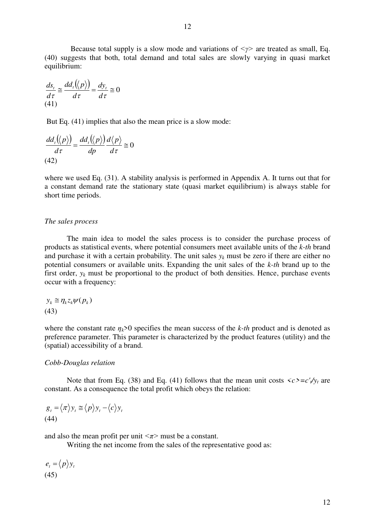Because total supply is a slow mode and variations of *<* $\gamma$ > are treated as small, Eq. (40) suggests that both, total demand and total sales are slowly varying in quasi market equilibrium:

$$
\frac{ds_t}{d\tau} \approx \frac{dd_t(\langle p \rangle)}{d\tau} = \frac{dy_t}{d\tau} \approx 0
$$
\n(41)

But Eq. (41) implies that also the mean price is a slow mode:

$$
\frac{dd_{t}(\langle p \rangle)}{d\tau} = \frac{dd_{t}(\langle p \rangle)}{dp} \frac{d\langle p \rangle}{d\tau} \approx 0
$$
\n(42)

where we used Eq. (31). A stability analysis is performed in Appendix A. It turns out that for a constant demand rate the stationary state (quasi market equilibrium) is always stable for short time periods.

#### *The sales process*

 The main idea to model the sales process is to consider the purchase process of products as statistical events, where potential consumers meet available units of the *k-th* brand and purchase it with a certain probability. The unit sales  $y_k$  must be zero if there are either no potential consumers or available units. Expanding the unit sales of the *k-th* brand up to the first order,  $y_k$  must be proportional to the product of both densities. Hence, purchase events occur with a frequency:

$$
y_k \cong \eta_k z_k \psi(p_k)
$$
  
(43)

where the constant rate  $\eta_k$ >0 specifies the mean success of the *k-th* product and is denoted as preference parameter. This parameter is characterized by the product features (utility) and the (spatial) accessibility of a brand.

#### *Cobb-Douglas relation*

Note that from Eq. (38) and Eq. (41) follows that the mean unit costs  $\langle c \rangle = c'_{t}/y_{t}$  are constant. As a consequence the total profit which obeys the relation:

$$
g_t = \langle \pi \rangle y_t \cong \langle p \rangle y_t - \langle c \rangle y_t
$$
\n(44)

and also the mean profit per unit  $\langle \pi \rangle$  must be a constant.

Writing the net income from the sales of the representative good as:

 $e_t = \langle p \rangle y_t$ (45)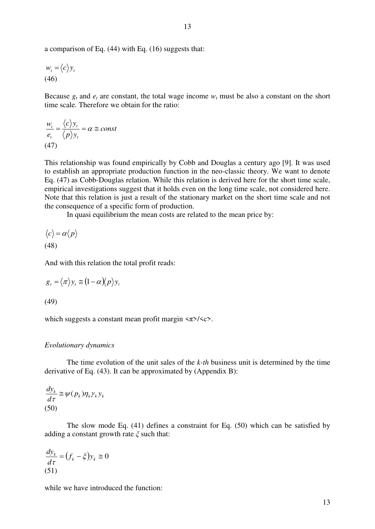$$
w_t = \langle c \rangle y_t
$$
  
(46)

Because  $g_t$  and  $e_t$  are constant, the total wage income  $w_t$  must be also a constant on the short time scale*.* Therefore we obtain for the ratio:

$$
\frac{w_t}{e_t} = \frac{\langle c \rangle y_t}{\langle p \rangle y_t} = \alpha \cong const
$$
\n(47)

This relationship was found empirically by Cobb and Douglas a century ago [9]. It was used to establish an appropriate production function in the neo-classic theory. We want to denote Eq. (47) as Cobb-Douglas relation. While this relation is derived here for the short time scale, empirical investigations suggest that it holds even on the long time scale, not considered here. Note that this relation is just a result of the stationary market on the short time scale and not the consequence of a specific form of production.

In quasi equilibrium the mean costs are related to the mean price by:

$$
\langle c \rangle = \alpha \langle p \rangle
$$
\n(48)

And with this relation the total profit reads:

$$
g_t = \langle \pi \rangle y_t \cong (1 - \alpha) \langle p \rangle y_t
$$

(49)

which suggests a constant mean profit margin  $\langle \pi \rangle / \langle c \rangle$ .

#### *Evolutionary dynamics*

 The time evolution of the unit sales of the *k-th* business unit is determined by the time derivative of Eq. (43). It can be approximated by (Appendix B):

$$
\frac{dy_k}{d\tau} \cong \psi(p_k)\eta_k \gamma_k y_k
$$
\n(50)

The slow mode Eq. (41) defines a constraint for Eq. (50) which can be satisfied by adding a constant growth rate *ξ* such that:

$$
\frac{dy_k}{d\tau} = (f_k - \xi)y_k \cong 0
$$
\n(51)

while we have introduced the function: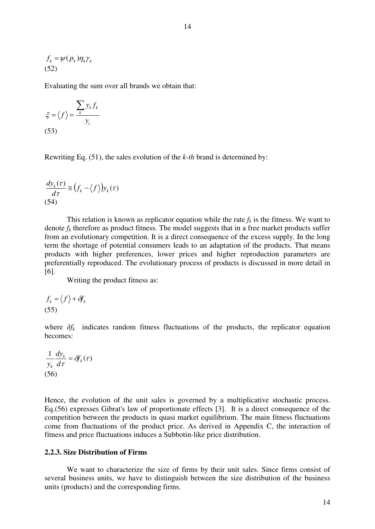$$
f_k = \psi(p_k) \eta_k \gamma_k
$$
\n(52)

Evaluating the sum over all brands we obtain that:

$$
\xi = \langle f \rangle = \frac{\sum_{k} y_{k} f_{k}}{y_{t}}
$$
\n(53)

Rewriting Eq. (51), the sales evolution of the *k-th* brand is determined by:

$$
\frac{dy_k(\tau)}{d\tau} \cong (f_k - \langle f \rangle) y_k(\tau)
$$
\n(54)

This relation is known as replicator equation while the rate  $f_k$  is the fitness. We want to denote  $f_k$  therefore as product fitness. The model suggests that in a free market products suffer from an evolutionary competition. It is a direct consequence of the excess supply. In the long term the shortage of potential consumers leads to an adaptation of the products. That means products with higher preferences, lower prices and higher reproduction parameters are preferentially reproduced. The evolutionary process of products is discussed in more detail in [6].

Writing the product fitness as:

$$
f_k = \langle f \rangle + \delta f_k
$$
\n(55)

where  $\delta f_k$  indicates random fitness fluctuations of the products, the replicator equation becomes:

$$
\frac{1}{y_k} \frac{dy_k}{d\tau} = \delta f_k(\tau)
$$
\n(56)

Hence, the evolution of the unit sales is governed by a multiplicative stochastic process. Eq.(56) expresses Gibrat's law of proportionate effects [3]. It is a direct consequence of the competition between the products in quasi market equilibrium. The main fitness fluctuations come from fluctuations of the product price. As derived in Appendix C, the interaction of fitness and price fluctuations induces a Subbotin-like price distribution.

# **2.2.3. Size Distribution of Firms**

We want to characterize the size of firms by their unit sales. Since firms consist of several business units, we have to distinguish between the size distribution of the business units (products) and the corresponding firms.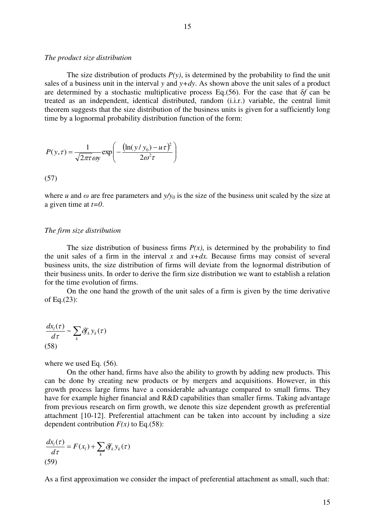#### *The product size distribution*

The size distribution of products  $P(y)$ , is determined by the probability to find the unit sales of a business unit in the interval *y* and  $y+dy$ . As shown above the unit sales of a product are determined by a stochastic multiplicative process Eq.(56). For the case that δ*f* can be treated as an independent, identical distributed, random (i.i.r.) variable, the central limit theorem suggests that the size distribution of the business units is given for a sufficiently long time by a lognormal probability distribution function of the form:

$$
P(y,\tau) = \frac{1}{\sqrt{2\pi\tau}\omega y} \exp\left(-\frac{(\ln(y/y_0) - u\tau)^2}{2\omega^2\tau}\right)
$$

(57)

where *u* and  $\omega$  are free parameters and  $y/y_0$  is the size of the business unit scaled by the size at a given time at *t=0*.

# *The firm size distribution*

The size distribution of business firms  $P(x)$ , is determined by the probability to find the unit sales of a firm in the interval  $x$  and  $x+dx$ . Because firms may consist of several business units, the size distribution of firms will deviate from the lognormal distribution of their business units. In order to derive the firm size distribution we want to establish a relation for the time evolution of firms.

 On the one hand the growth of the unit sales of a firm is given by the time derivative of Eq.(23):

$$
\frac{dx_i(\tau)}{d\tau} \sim \sum_k \mathcal{F}_k y_k(\tau)
$$
\n(58)

where we used Eq.  $(56)$ .

 On the other hand, firms have also the ability to growth by adding new products. This can be done by creating new products or by mergers and acquisitions. However, in this growth process large firms have a considerable advantage compared to small firms. They have for example higher financial and R&D capabilities than smaller firms. Taking advantage from previous research on firm growth, we denote this size dependent growth as preferential attachment [10-12]. Preferential attachment can be taken into account by including a size dependent contribution  $F(x)$  to Eq.(58):

$$
\frac{dx_i(\tau)}{d\tau} = F(x_i) + \sum_k \mathcal{F}_k y_k(\tau)
$$
\n(59)

As a first approximation we consider the impact of preferential attachment as small, such that: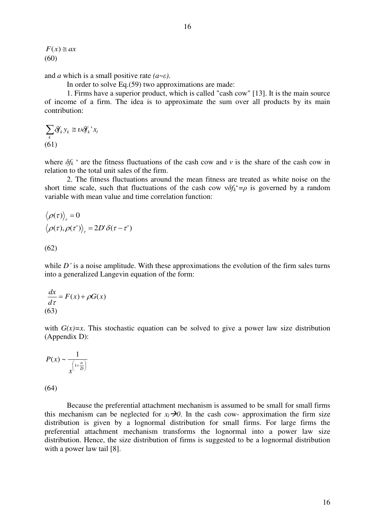16

 $F(x) \equiv ax$ (60)

and *a* which is a small positive rate *(a*~*ε)*.

In order to solve Eq.(59) two approximations are made:

 1. Firms have a superior product, which is called "cash cow" [13]. It is the main source of income of a firm. The idea is to approximate the sum over all products by its main contribution:

$$
\sum_{k} \delta f_{k} y_{k} \cong \nu \delta f_{k} x_{l}
$$
  
(61)

where  $\delta f_k$  ' are the fitness fluctuations of the cash cow and *v* is the share of the cash cow in relation to the total unit sales of the firm.

 2. The fitness fluctuations around the mean fitness are treated as white noise on the short time scale, such that fluctuations of the cash cow  $v \delta f_k^* = \rho$  is governed by a random variable with mean value and time correlation function:

$$
\langle \rho(\tau) \rangle_{\tau} = 0
$$
  

$$
\langle \rho(\tau), \rho(\tau') \rangle_{\tau} = 2D' \delta(\tau - \tau')
$$

(62)

while *D*<sup> $\prime$ </sup> is a noise amplitude. With these approximations the evolution of the firm sales turns into a generalized Langevin equation of the form:

$$
\frac{dx}{d\tau} = F(x) + \rho G(x)
$$
  
(63)

with  $G(x)=x$ . This stochastic equation can be solved to give a power law size distribution (Appendix D):

$$
P(x) \sim \frac{1}{x^{\left(1 + \frac{a}{D}\right)}}
$$

(64)

Because the preferential attachment mechanism is assumed to be small for small firms this mechanism can be neglected for  $x_l \rightarrow 0$ . In the cash cow- approximation the firm size distribution is given by a lognormal distribution for small firms. For large firms the preferential attachment mechanism transforms the lognormal into a power law size distribution. Hence, the size distribution of firms is suggested to be a lognormal distribution with a power law tail [8].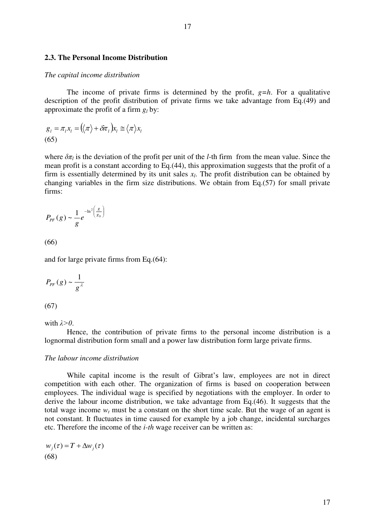#### **2.3. The Personal Income Distribution**

#### *The capital income distribution*

The income of private firms is determined by the profit,  $g=h$ . For a qualitative description of the profit distribution of private firms we take advantage from Eq.(49) and approximate the profit of a firm  $g_l$  by:

$$
g_{l} = \pi_{l} x_{l} = (\langle \pi \rangle + \delta \pi_{l}) x_{l} \approx \langle \pi \rangle x_{l}
$$
\n(65)

where  $\delta \pi_l$  is the deviation of the profit per unit of the *l*-th firm from the mean value. Since the mean profit is a constant according to Eq.(44), this approximation suggests that the profit of a firm is essentially determined by its unit sales  $x_l$ . The profit distribution can be obtained by changing variables in the firm size distributions. We obtain from Eq.(57) for small private firms:

$$
P_{PF}(g) \sim \frac{1}{g}e^{-\ln^2\left(\frac{g}{g_0}\right)}
$$

(66)

and for large private firms from Eq.(64):

$$
P_{PF}(g) \sim \frac{1}{g^{\lambda}}
$$

(67)

with *λ>0*.

Hence, the contribution of private firms to the personal income distribution is a lognormal distribution form small and a power law distribution form large private firms.

#### *The labour income distribution*

While capital income is the result of Gibrat's law, employees are not in direct competition with each other. The organization of firms is based on cooperation between employees. The individual wage is specified by negotiations with the employer. In order to derive the labour income distribution, we take advantage from Eq.(46). It suggests that the total wage income  $w_t$  must be a constant on the short time scale. But the wage of an agent is not constant. It fluctuates in time caused for example by a job change, incidental surcharges etc. Therefore the income of the *i-th* wage receiver can be written as:

 $w_i(\tau) = T + \Delta w_i(\tau)$ (68)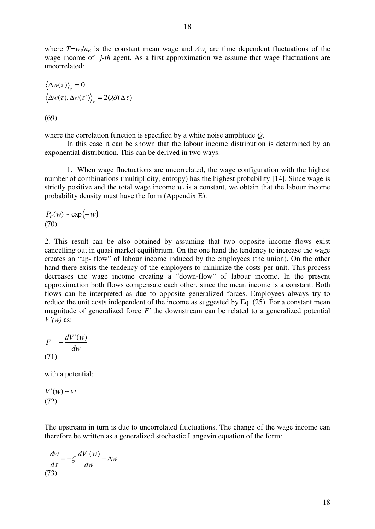where  $T = w_t/n_E$  is the constant mean wage and  $\Delta w_i$  are time dependent fluctuations of the wage income of *j-th* agent. As a first approximation we assume that wage fluctuations are uncorrelated:

$$
\langle \Delta w(\tau) \rangle_{\tau} = 0
$$
  

$$
\langle \Delta w(\tau), \Delta w(\tau') \rangle_{\tau} = 2Q\delta(\Delta \tau)
$$

(69)

where the correlation function is specified by a white noise amplitude *Q*.

 In this case it can be shown that the labour income distribution is determined by an exponential distribution. This can be derived in two ways.

1. When wage fluctuations are uncorrelated, the wage configuration with the highest number of combinations (multiplicity, entropy) has the highest probability [14]. Since wage is strictly positive and the total wage income  $w_t$  is a constant, we obtain that the labour income probability density must have the form (Appendix E):

$$
\frac{P_E(w) \sim \exp(-w)}{(70)}
$$

2. This result can be also obtained by assuming that two opposite income flows exist cancelling out in quasi market equilibrium. On the one hand the tendency to increase the wage creates an "up- flow" of labour income induced by the employees (the union). On the other hand there exists the tendency of the employers to minimize the costs per unit. This process decreases the wage income creating a "down-flow" of labour income. In the present approximation both flows compensate each other, since the mean income is a constant. Both flows can be interpreted as due to opposite generalized forces. Employees always try to reduce the unit costs independent of the income as suggested by Eq. (25). For a constant mean magnitude of generalized force *F'* the downstream can be related to a generalized potential *V'(w)* as:

$$
F' = -\frac{dV'(w)}{dw}
$$
  
(71)

with a potential:

$$
V'(w) \sim w
$$
  
(72)

The upstream in turn is due to uncorrelated fluctuations. The change of the wage income can therefore be written as a generalized stochastic Langevin equation of the form:

$$
\frac{dw}{d\tau} = -\zeta \frac{dV'(w)}{dw} + \Delta w
$$
\n(73)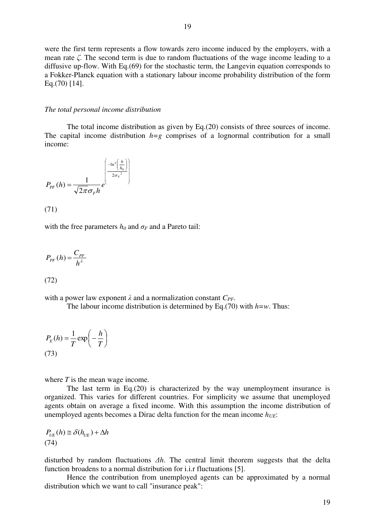were the first term represents a flow towards zero income induced by the employers, with a mean rate *ζ*. The second term is due to random fluctuations of the wage income leading to a diffusive up-flow. With Eq.(69) for the stochastic term, the Langevin equation corresponds to a Fokker-Planck equation with a stationary labour income probability distribution of the form Eq.(70) [14].

#### *The total personal income distribution*

 The total income distribution as given by Eq.(20) consists of three sources of income. The capital income distribution  $h=g$  comprises of a lognormal contribution for a small income:

$$
P_{PF}(h) = \frac{1}{\sqrt{2\pi}\sigma_F h} e^{\left(\frac{-\ln^2\left(\frac{h}{h_0}\right)}{2\sigma_F^2}\right)}
$$

(71)

with the free parameters  $h_0$  and  $\sigma_F$  and a Pareto tail:

$$
P_{PF}(h) = \frac{C_{PF}}{h^{\lambda}}
$$

$$
(72)
$$

with a power law exponent  $\lambda$  and a normalization constant  $C_{PF}$ .

The labour income distribution is determined by Eq.(70) with *h=w*. Thus:

$$
P_E(h) = \frac{1}{T} \exp\left(-\frac{h}{T}\right)
$$
\n(73)

where *T* is the mean wage income.

The last term in Eq.(20) is characterized by the way unemployment insurance is organized. This varies for different countries. For simplicity we assume that unemployed agents obtain on average a fixed income. With this assumption the income distribution of unemployed agents becomes a Dirac delta function for the mean income *hUE*:

$$
P_{UE}(h) \cong \delta(h_{UE}) + \Delta h
$$
\n(74)

disturbed by random fluctuations *Δh*. The central limit theorem suggests that the delta function broadens to a normal distribution for i.i.r fluctuations [5].

 Hence the contribution from unemployed agents can be approximated by a normal distribution which we want to call "insurance peak":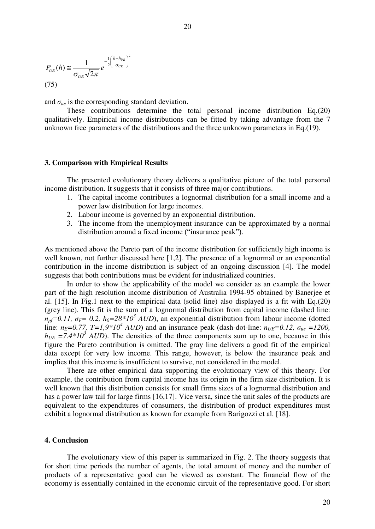$$
P_{UE}(h) \cong \frac{1}{\sigma_{UE}\sqrt{2\pi}}e^{-\frac{1}{2}\left(\frac{h-h_{UE}}{\sigma_{UE}}\right)^{2}}
$$
\n(75)

and  $\sigma_{ue}$  is the corresponding standard deviation.

 These contributions determine the total personal income distribution Eq.(20) qualitatively. Empirical income distributions can be fitted by taking advantage from the 7 unknown free parameters of the distributions and the three unknown parameters in Eq.(19).

#### **3. Comparison with Empirical Results**

The presented evolutionary theory delivers a qualitative picture of the total personal income distribution. It suggests that it consists of three major contributions.

- 1. The capital income contributes a lognormal distribution for a small income and a power law distribution for large incomes.
- 2. Labour income is governed by an exponential distribution.
- 3. The income from the unemployment insurance can be approximated by a normal distribution around a fixed income ("insurance peak").

As mentioned above the Pareto part of the income distribution for sufficiently high income is well known, not further discussed here [1,2]. The presence of a lognormal or an exponential contribution in the income distribution is subject of an ongoing discussion [4]. The model suggests that both contributions must be evident for industrialized countries.

In order to show the applicability of the model we consider as an example the lower part of the high resolution income distribution of Australia 1994-95 obtained by Banerjee et al. [15]. In Fig.1 next to the empirical data (solid line) also displayed is a fit with Eq.(20) (grey line). This fit is the sum of a lognormal distribution from capital income (dashed line:  $n_{pf} = 0.11$ ,  $\sigma_F = 0.2$ ,  $h_0 = 28*10^3$  *AUD*), an exponential distribution from labour income (dotted line:  $n_E=0.77$ ,  $T=1.9*10^4$  AUD) and an insurance peak (dash-dot-line:  $n_{UE}=0.12$ ,  $\sigma_{ue}=1200$ ,  $h_{UE}$  =7.4\*10<sup>3</sup> AUD). The densities of the three components sum up to one, because in this figure the Pareto contribution is omitted. The gray line delivers a good fit of the empirical data except for very low income. This range, however, is below the insurance peak and implies that this income is insufficient to survive, not considered in the model.

There are other empirical data supporting the evolutionary view of this theory. For example, the contribution from capital income has its origin in the firm size distribution. It is well known that this distribution consists for small firms sizes of a lognormal distribution and has a power law tail for large firms [16,17]. Vice versa, since the unit sales of the products are equivalent to the expenditures of consumers, the distribution of product expenditures must exhibit a lognormal distribution as known for example from Barigozzi et al. [18].

# **4. Conclusion**

The evolutionary view of this paper is summarized in Fig. 2. The theory suggests that for short time periods the number of agents, the total amount of money and the number of products of a representative good can be viewed as constant. The financial flow of the economy is essentially contained in the economic circuit of the representative good. For short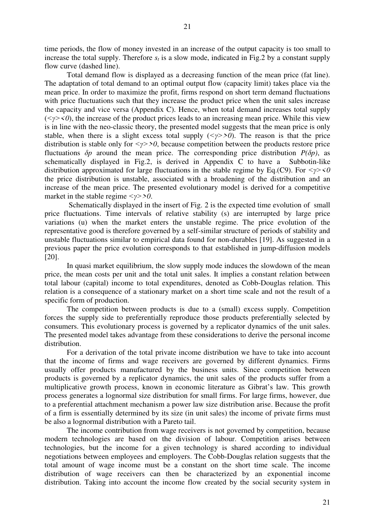time periods, the flow of money invested in an increase of the output capacity is too small to increase the total supply. Therefore  $s_t$  is a slow mode, indicated in Fig.2 by a constant supply flow curve (dashed line).

Total demand flow is displayed as a decreasing function of the mean price (fat line). The adaptation of total demand to an optimal output flow (capacity limit) takes place via the mean price. In order to maximize the profit, firms respond on short term demand fluctuations with price fluctuations such that they increase the product price when the unit sales increase the capacity and vice versa (Appendix C). Hence, when total demand increases total supply  $(\langle \gamma \rangle \langle 0 \rangle)$ , the increase of the product prices leads to an increasing mean price. While this view is in line with the neo-classic theory, the presented model suggests that the mean price is only stable, when there is a slight excess total supply  $(\langle \gamma \rangle > 0)$ . The reason is that the price distribution is stable only for  $\langle \gamma \rangle > 0$ , because competition between the products restore price fluctuations *δp* around the mean price. The corresponding price distribution *P(δp)*, as schematically displayed in Fig.2, is derived in Appendix C to have a Subbotin-like distribution approximated for large fluctuations in the stable regime by Eq.(C9). For *<γ><0* the price distribution is unstable, associated with a broadening of the distribution and an increase of the mean price. The presented evolutionary model is derived for a competitive market in the stable regime *<y>>0*.

 Schematically displayed in the insert of Fig. 2 is the expected time evolution of small price fluctuations. Time intervals of relative stability (s) are interrupted by large price variations (u) when the market enters the unstable regime. The price evolution of the representative good is therefore governed by a self-similar structure of periods of stability and unstable fluctuations similar to empirical data found for non-durables [19]. As suggested in a previous paper the price evolution corresponds to that established in jump-diffusion models [20].

In quasi market equilibrium, the slow supply mode induces the slowdown of the mean price, the mean costs per unit and the total unit sales. It implies a constant relation between total labour (capital) income to total expenditures, denoted as Cobb-Douglas relation. This relation is a consequence of a stationary market on a short time scale and not the result of a specific form of production.

The competition between products is due to a (small) excess supply. Competition forces the supply side to preferentially reproduce those products preferentially selected by consumers. This evolutionary process is governed by a replicator dynamics of the unit sales. The presented model takes advantage from these considerations to derive the personal income distribution.

For a derivation of the total private income distribution we have to take into account that the income of firms and wage receivers are governed by different dynamics. Firms usually offer products manufactured by the business units. Since competition between products is governed by a replicator dynamics, the unit sales of the products suffer from a multiplicative growth process, known in economic literature as Gibrat's law. This growth process generates a lognormal size distribution for small firms. For large firms, however, due to a preferential attachment mechanism a power law size distribution arise. Because the profit of a firm is essentially determined by its size (in unit sales) the income of private firms must be also a lognormal distribution with a Pareto tail.

The income contribution from wage receivers is not governed by competition, because modern technologies are based on the division of labour. Competition arises between technologies, but the income for a given technology is shared according to individual negotiations between employees and employers. The Cobb-Douglas relation suggests that the total amount of wage income must be a constant on the short time scale. The income distribution of wage receivers can then be characterized by an exponential income distribution. Taking into account the income flow created by the social security system in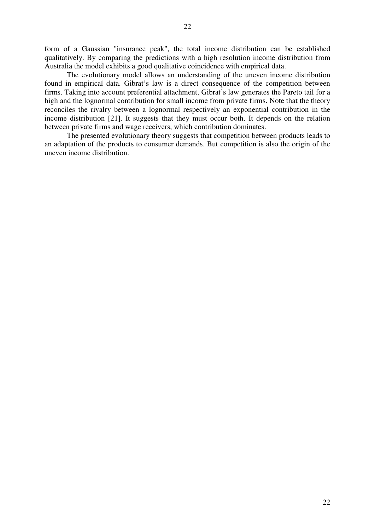form of a Gaussian "insurance peak", the total income distribution can be established qualitatively. By comparing the predictions with a high resolution income distribution from Australia the model exhibits a good qualitative coincidence with empirical data.

The evolutionary model allows an understanding of the uneven income distribution found in empirical data. Gibrat's law is a direct consequence of the competition between firms. Taking into account preferential attachment, Gibrat's law generates the Pareto tail for a high and the lognormal contribution for small income from private firms. Note that the theory reconciles the rivalry between a lognormal respectively an exponential contribution in the income distribution [21]. It suggests that they must occur both. It depends on the relation between private firms and wage receivers, which contribution dominates.

The presented evolutionary theory suggests that competition between products leads to an adaptation of the products to consumer demands. But competition is also the origin of the uneven income distribution.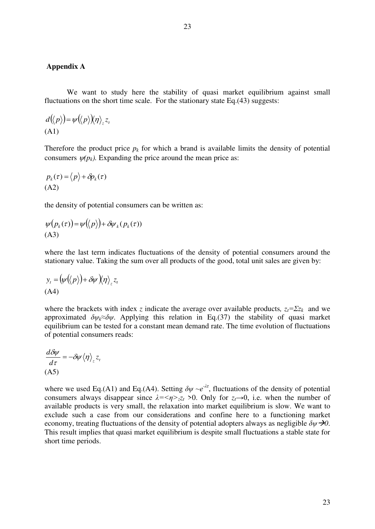# **Appendix A**

We want to study here the stability of quasi market equilibrium against small fluctuations on the short time scale. For the stationary state Eq.(43) suggests:

$$
d(\langle p \rangle) = \psi(\langle p \rangle) \langle \eta \rangle_z z_r
$$
\n(A1)

Therefore the product price  $p_k$  for which a brand is available limits the density of potential consumers  $\psi(p_k)$ . Expanding the price around the mean price as:

$$
p_k(\tau) = \langle p \rangle + \delta p_k(\tau)
$$
  
(A2)

the density of potential consumers can be written as:

$$
\psi(p_k(\tau)) = \psi(\langle p \rangle) + \delta \psi_k(p_k(\tau))
$$
\n(A3)

where the last term indicates fluctuations of the density of potential consumers around the stationary value. Taking the sum over all products of the good, total unit sales are given by:

$$
y_t = (\psi(\langle p \rangle) + \delta \psi) \langle \eta \rangle_z z_t
$$
  
(A4)

where the brackets with index *z* indicate the average over available products,  $z_t = \sum z_k$  and we approximated  $\delta \psi_k \approx \delta \psi$ . Applying this relation in Eq.(37) the stability of quasi market equilibrium can be tested for a constant mean demand rate. The time evolution of fluctuations of potential consumers reads:

$$
\frac{d\delta\psi}{d\tau} = -\delta\psi \langle \eta \rangle_z z_i
$$
\n(A5)

where we used Eq.(A1) and Eq.(A4). Setting  $\delta \psi \sim e^{-\lambda \tau}$ , fluctuations of the density of potential consumers always disappear since  $\lambda = \langle \eta \rangle_{z} z_t > 0$ . Only for  $z_t \rightarrow 0$ , i.e. when the number of available products is very small, the relaxation into market equilibrium is slow. We want to exclude such a case from our considerations and confine here to a functioning market economy, treating fluctuations of the density of potential adopters always as negligible  $\delta \psi \rightarrow 0$ . This result implies that quasi market equilibrium is despite small fluctuations a stable state for short time periods.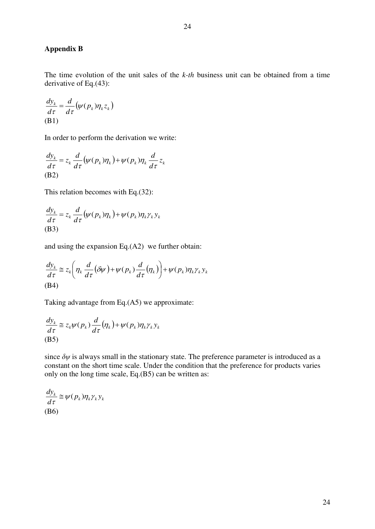# **Appendix B**

The time evolution of the unit sales of the *k-th* business unit can be obtained from a time derivative of Eq.(43):

$$
\frac{dy_k}{d\tau} = \frac{d}{d\tau} \big(\psi(p_k)\eta_k z_k\big)
$$
\n(B1)

In order to perform the derivation we write:

$$
\frac{dy_k}{d\tau} = z_k \frac{d}{d\tau} \big( \psi(p_k) \eta_k \big) + \psi(p_k) \eta_k \frac{d}{d\tau} z_k
$$
\n(B2)

This relation becomes with Eq.(32):

$$
\frac{dy_k}{d\tau} = z_k \frac{d}{d\tau} (\psi(p_k)\eta_k) + \psi(p_k)\eta_k \gamma_k y_k
$$
\n(B3)

and using the expansion Eq.(A2) we further obtain:

$$
\frac{dy_k}{d\tau} \cong z_k \left( \eta_k \frac{d}{d\tau} (\delta \psi) + \psi (p_k) \frac{d}{d\tau} (\eta_k) \right) + \psi (p_k) \eta_k \gamma_k y_k
$$
\n(B4)

Taking advantage from Eq.(A5) we approximate:

$$
\frac{dy_k}{d\tau} \cong z_k \psi(p_k) \frac{d}{d\tau} (\eta_k) + \psi(p_k) \eta_k \gamma_k y_k
$$
\n(B5)

since  $\delta \psi$  is always small in the stationary state. The preference parameter is introduced as a constant on the short time scale. Under the condition that the preference for products varies only on the long time scale, Eq.(B5) can be written as:

$$
\frac{dy_k}{d\tau} \cong \psi(p_k)\eta_k\gamma_k y_k
$$
\n(B6)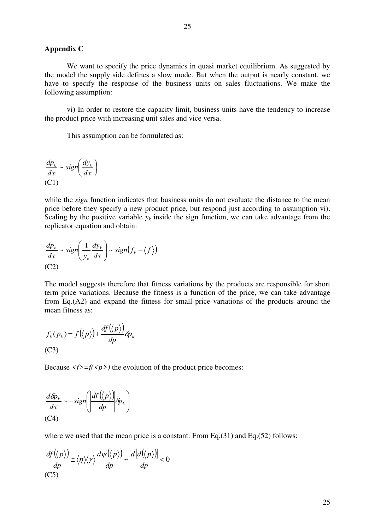# **Appendix C**

We want to specify the price dynamics in quasi market equilibrium. As suggested by the model the supply side defines a slow mode. But when the output is nearly constant, we have to specify the response of the business units on sales fluctuations. We make the following assumption:

vi) In order to restore the capacity limit, business units have the tendency to increase the product price with increasing unit sales and vice versa.

This assumption can be formulated as:

$$
\frac{dp_k}{d\tau} \sim sign\left(\frac{dy_k}{d\tau}\right)
$$
  
(C1)

while the *sign* function indicates that business units do not evaluate the distance to the mean price before they specify a new product price, but respond just according to assumption vi). Scaling by the positive variable  $y_k$  inside the sign function, we can take advantage from the replicator equation and obtain:

$$
\frac{dp_k}{d\tau} \sim sign\left(\frac{1}{y_k}\frac{dy_k}{d\tau}\right) \sim sign(f_k - \langle f \rangle)
$$
  
(C2)

The model suggests therefore that fitness variations by the products are responsible for short term price variations. Because the fitness is a function of the price, we can take advantage from Eq.(A2) and expand the fitness for small price variations of the products around the mean fitness as:

$$
f_k(p_k) = f(\langle p \rangle) + \frac{df(\langle p \rangle)}{dp} \delta p_k
$$
  
(C3)

Because  $\langle f \rangle = f(\langle p \rangle)$  the evolution of the product price becomes:

$$
\frac{d\delta p_k}{d\tau} \sim -sign\left(\frac{df(\langle p \rangle)}{dp}\delta p_k\right)
$$
  
(C4)

where we used that the mean price is a constant. From Eq.(31) and Eq.(52) follows:

$$
\frac{df(\langle p \rangle)}{dp} \cong \langle \eta \rangle \langle \gamma \rangle \frac{d\psi(\langle p \rangle)}{dp} \sim \frac{d\big[d(\langle p \rangle)\big]}{dp} < 0
$$
\n(C5)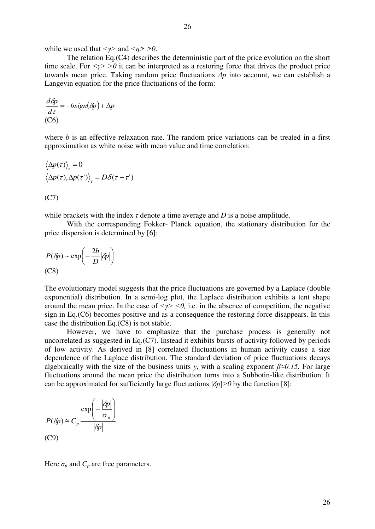while we used that  $\langle \gamma \rangle$  and  $\langle \eta \rangle > 0$ .

The relation Eq.(C4) describes the deterministic part of the price evolution on the short time scale. For  $\langle \gamma \rangle > 0$  it can be interpreted as a restoring force that drives the product price towards mean price. Taking random price fluctuations *Δp* into account, we can establish a Langevin equation for the price fluctuations of the form:

$$
\frac{d\delta p}{d\tau} = -bsign(\delta p) + \Delta p
$$
  
(C6)

where *b* is an effective relaxation rate. The random price variations can be treated in a first approximation as white noise with mean value and time correlation:

$$
\langle \Delta p(\tau) \rangle_{\tau} = 0
$$
  

$$
\langle \Delta p(\tau), \Delta p(\tau') \rangle_{\tau} = D\delta(\tau - \tau')
$$

(C7)

while brackets with the index  $\tau$  denote a time average and  $D$  is a noise amplitude.

With the corresponding Fokker- Planck equation, the stationary distribution for the price dispersion is determined by [6]:

$$
P(\delta p) \sim \exp\left(-\frac{2b}{D}|\delta p|\right)
$$
\n(C8)

The evolutionary model suggests that the price fluctuations are governed by a Laplace (double exponential) distribution. In a semi-log plot, the Laplace distribution exhibits a tent shape around the mean price. In the case of  $\langle \gamma \rangle \langle 0 \rangle$ , i.e. in the absence of competition, the negative sign in Eq.(C6) becomes positive and as a consequence the restoring force disappears. In this case the distribution Eq.(C8) is not stable.

 However, we have to emphasize that the purchase process is generally not uncorrelated as suggested in Eq.(C7). Instead it exhibits bursts of activity followed by periods of low activity. As derived in [8] correlated fluctuations in human activity cause a size dependence of the Laplace distribution. The standard deviation of price fluctuations decays algebraically with the size of the business units *y*, with a scaling exponent *β≈0.15.* For large fluctuations around the mean price the distribution turns into a Subbotin-like distribution. It can be approximated for sufficiently large fluctuations  $|\delta p| > 0$  by the function [8]:

$$
P(\delta p) \cong C_p \frac{\exp\left(-\frac{|\delta p|}{\sigma_p}\right)}{|\delta p|}
$$
  
(C9)

Here  $\sigma_p$  and  $C_p$  are free parameters.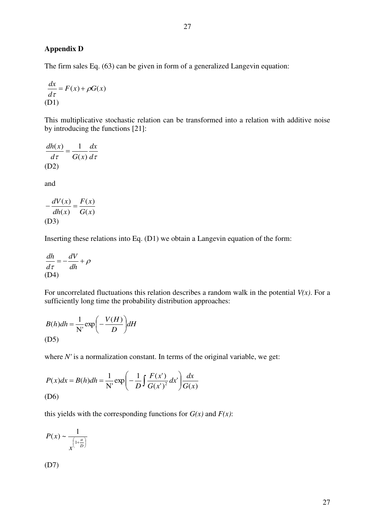# **Appendix D**

The firm sales Eq. (63) can be given in form of a generalized Langevin equation:

$$
\frac{dx}{d\tau} = F(x) + \rho G(x)
$$
  
(D1)

This multiplicative stochastic relation can be transformed into a relation with additive noise by introducing the functions [21]:

$$
\frac{dh(x)}{d\tau} = \frac{1}{G(x)}\frac{dx}{d\tau}
$$
\n(D2)

and

$$
-\frac{dV(x)}{dh(x)} = \frac{F(x)}{G(x)}
$$
  
(D3)

Inserting these relations into Eq. (D1) we obtain a Langevin equation of the form:

$$
\frac{dh}{d\tau} = -\frac{dV}{dh} + \rho
$$
\n(D4)

For uncorrelated fluctuations this relation describes a random walk in the potential *V(x)*. For a sufficiently long time the probability distribution approaches:

$$
B(h)dh = \frac{1}{N'} \exp\left(-\frac{V(H)}{D}\right) dH
$$
\n(D5)

where *N'* is a normalization constant. In terms of the original variable, we get:

$$
P(x)dx = B(h)dh = \frac{1}{N'}\exp\left(-\frac{1}{D}\int\frac{F(x')}{G(x')^2}dx'\right)\frac{dx}{G(x)}
$$
\n(D6)

this yields with the corresponding functions for  $G(x)$  and  $F(x)$ :

$$
P(x) \sim \frac{1}{x^{\left(1 + \frac{a}{D}\right)}}
$$

(D7)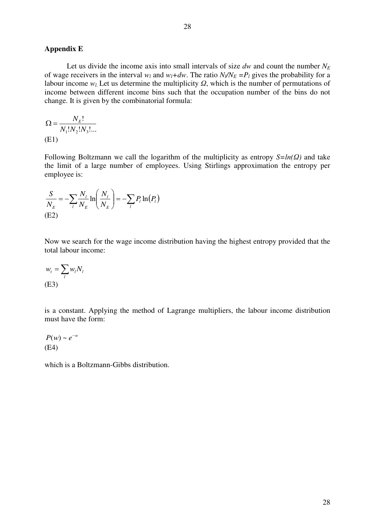# **Appendix E**

Let us divide the income axis into small intervals of size  $dw$  and count the number  $N_E$ of wage receivers in the interval  $w_l$  and  $w_l + dw$ . The ratio  $N_l / N_E = P_l$  gives the probability for a labour income *w<sup>l</sup>*. Let us determine the multiplicity *Ω*, which is the number of permutations of income between different income bins such that the occupation number of the bins do not change. It is given by the combinatorial formula:

$$
\Omega = \frac{N_E!}{N_1! N_2! N_3! \dots}
$$
\n(E1)

Following Boltzmann we call the logarithm of the multiplicity as entropy *S=ln(Ω)* and take the limit of a large number of employees. Using Stirlings approximation the entropy per employee is:

$$
\frac{S}{N_E} = -\sum_l \frac{N_l}{N_E} \ln \left( \frac{N_l}{N_E} \right) = -\sum_l P_l \ln(P_l)
$$
\n(E2)

Now we search for the wage income distribution having the highest entropy provided that the total labour income:

$$
w_t = \sum_l w_l N_l
$$
  
(E3)

is a constant. Applying the method of Lagrange multipliers, the labour income distribution must have the form:

$$
P(w) \sim e^{-w}
$$
  
(E4)

which is a Boltzmann-Gibbs distribution.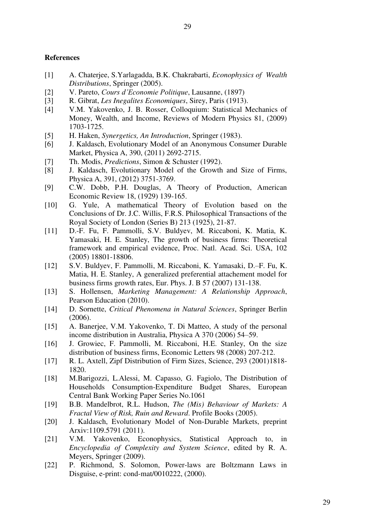29

# **References**

- [1] A. Chaterjee, S.Yarlagadda, B.K. Chakrabarti, *Econophysics of Wealth Distributions*, Springer (2005).
- [2] V. Pareto, *Cours d'Economie Politique*, Lausanne, (1897)
- [3] R. Gibrat, *Les Inegalites Economiques*, Sirey, Paris (1913).
- [4] V.M. Yakovenko, J. B. Rosser, Colloquium: Statistical Mechanics of Money, Wealth, and Income, Reviews of Modern Physics 81, (2009) 1703-1725.
- [5] H. Haken, *Synergetics, An Introduction*, Springer (1983).
- [6] J. Kaldasch, Evolutionary Model of an Anonymous Consumer Durable Market, Physica A, 390, (2011) 2692-2715.
- [7] Th. Modis, *Predictions*, Simon & Schuster (1992).
- [8] J. Kaldasch, Evolutionary Model of the Growth and Size of Firms, Physica A, 391, (2012) 3751-3769.
- [9] C.W. Dobb, P.H. Douglas, A Theory of Production, American Economic Review 18, (1929) 139-165.
- [10] G. Yule, A mathematical Theory of Evolution based on the Conclusions of Dr. J.C. Willis, F.R.S. Philosophical Transactions of the Royal Society of London (Series B) 213 (1925), 21-87.
- [11] D.-F. Fu, F. Pammolli, S.V. Buldyev, M. Riccaboni, K. Matia, K. Yamasaki, H. E. Stanley, The growth of business firms: Theoretical framework and empirical evidence, Proc. Natl. Acad. Sci. USA, 102 (2005) 18801-18806.
- [12] S.V. Buldyev, F. Pammolli, M. Riccaboni, K. Yamasaki, D.–F. Fu, K. Matia, H. E. Stanley, A generalized preferential attachement model for business firms growth rates, Eur. Phys. J. B 57 (2007) 131-138.
- [13] S. Hollensen, *Marketing Management: A Relationship Approach*, Pearson Education (2010).
- [14] D. Sornette, *Critical Phenomena in Natural Sciences*, Springer Berlin (2006).
- [15] A. Banerjee, V.M. Yakovenko, T. Di Matteo, A study of the personal income distribution in Australia, Physica A 370 (2006) 54–59.
- [16] J. Growiec, F. Pammolli, M. Riccaboni, H.E. Stanley, On the size distribution of business firms, Economic Letters 98 (2008) 207-212.
- [17] R. L. Axtell, Zipf Distribution of Firm Sizes, Science, 293 (2001)1818- 1820.
- [18] M.Barigozzi, L.Alessi, M. Capasso, G. Fagiolo, The Distribution of Households Consumption-Expenditure Budget Shares, European Central Bank Working Paper Series No.1061
- [19] B.B. Mandelbrot, R.L. Hudson, *The (Mis) Behaviour of Markets: A Fractal View of Risk, Ruin and Reward*. Profile Books (2005).
- [20] J. Kaldasch, Evolutionary Model of Non-Durable Markets, preprint Arxiv:1109.5791 (2011).
- [21] V.M. Yakovenko, Econophysics, Statistical Approach to, in *Encyclopedia of Complexity and System Science*, edited by R. A. Meyers, Springer (2009).
- [22] P. Richmond, S. Solomon, Power-laws are Boltzmann Laws in Disguise, e-print: cond-mat/0010222, (2000).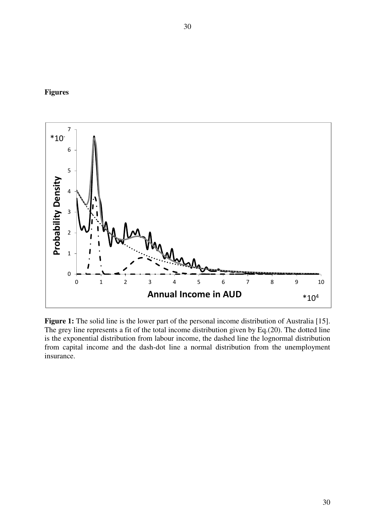# **Figures**



**Figure 1:** The solid line is the lower part of the personal income distribution of Australia [15]. The grey line represents a fit of the total income distribution given by Eq.(20). The dotted line is the exponential distribution from labour income, the dashed line the lognormal distribution from capital income and the dash-dot line a normal distribution from the unemployment insurance.